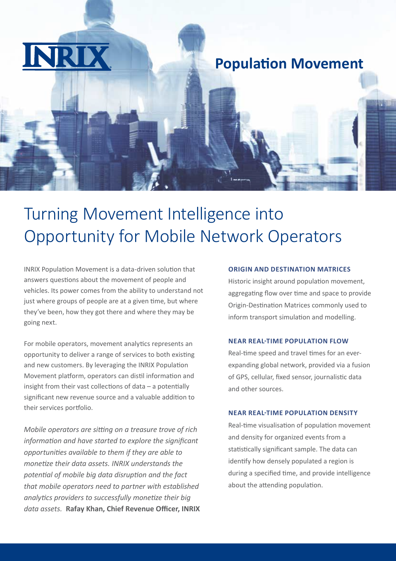

## **Population Movement**

# Turning Movement Intelligence into Opportunity for Mobile Network Operators

INRIX Population Movement is a data-driven solution that answers questions about the movement of people and vehicles. Its power comes from the ability to understand not just where groups of people are at a given time, but where they've been, how they got there and where they may be going next.

For mobile operators, movement analytics represents an opportunity to deliver a range of services to both existing and new customers. By leveraging the INRIX Population Movement platform, operators can distil information and insight from their vast collections of data – a potentially significant new revenue source and a valuable addition to their services portfolio.

*Mobile operators are sitting on a treasure trove of rich information and have started to explore the significant opportunities available to them if they are able to monetize their data assets. INRIX understands the potential of mobile big data disruption and the fact that mobile operators need to partner with established analytics providers to successfully monetize their big data assets.* **Rafay Khan, Chief Revenue Officer, INRIX**

#### **ORIGIN AND DESTINATION MATRICES**

Historic insight around population movement, aggregating flow over time and space to provide Origin-Destination Matrices commonly used to inform transport simulation and modelling.

#### **NEAR REAL-TIME POPULATION FLOW**

Real-time speed and travel times for an everexpanding global network, provided via a fusion of GPS, cellular, fixed sensor, journalistic data and other sources.

#### **NEAR REAL-TIME POPULATION DENSITY**

Real-time visualisation of population movement and density for organized events from a statistically significant sample. The data can identify how densely populated a region is during a specified time, and provide intelligence about the attending population.